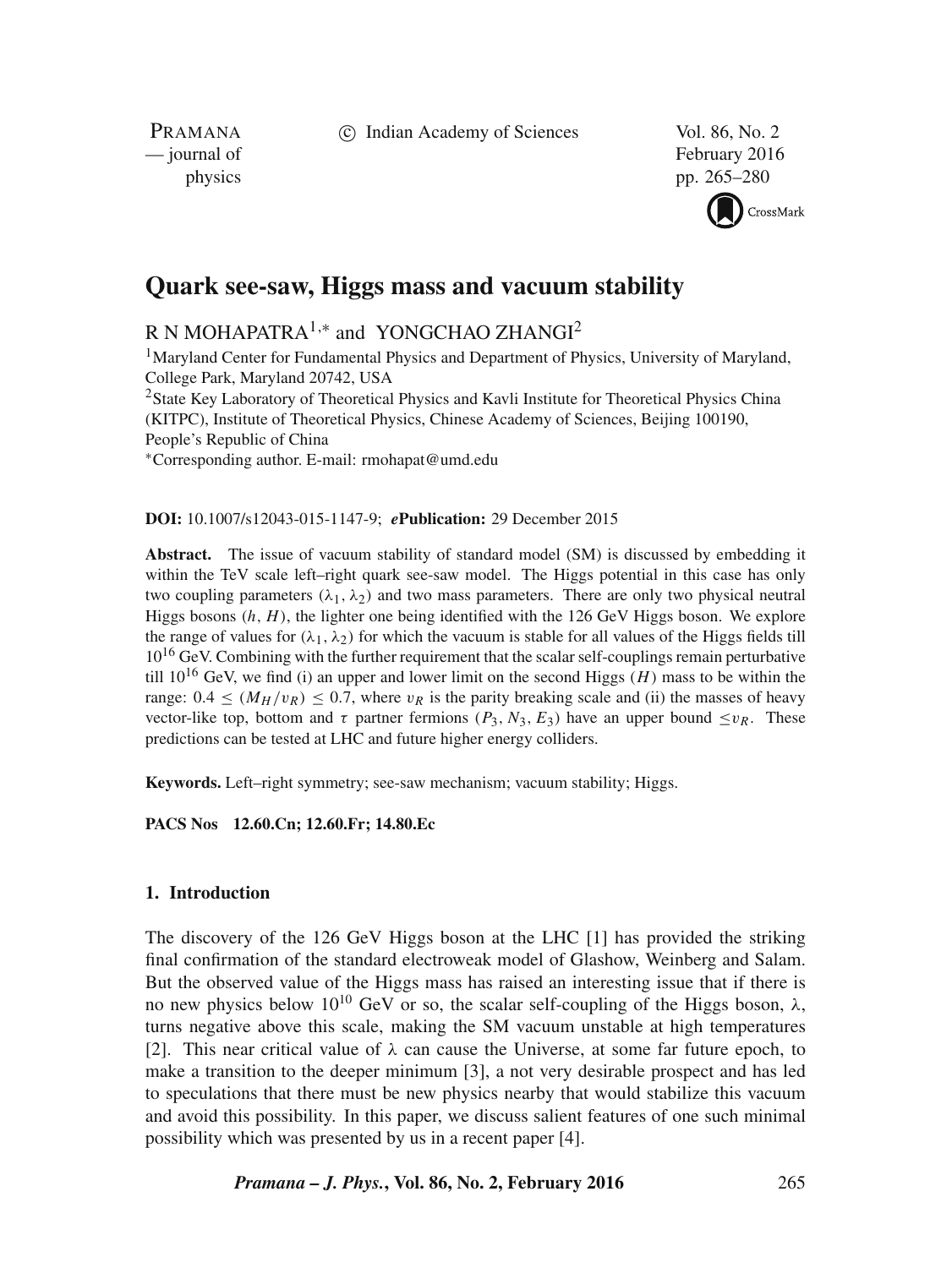c Indian Academy of Sciences Vol. 86, No. 2

PRAMANA<br>
— journal of

February 2016 physics pp. 265–280



# **Quark see-saw, Higgs mass and vacuum stability**

R N MOHAPATRA $^{1,\ast}$  and YONGCHAO ZHANGI $^2$ 

<sup>1</sup>Maryland Center for Fundamental Physics and Department of Physics, University of Maryland, College Park, Maryland 20742, USA

<sup>2</sup>State Key Laboratory of Theoretical Physics and Kavli Institute for Theoretical Physics China (KITPC), Institute of Theoretical Physics, Chinese Academy of Sciences, Beijing 100190, People's Republic of China

∗Corresponding author. E-mail: rmohapat@umd.edu

**DOI:** 10.1007/s12043-015-1147-9; *e***Publication:** 29 December 2015

**Abstract.** The issue of vacuum stability of standard model (SM) is discussed by embedding it within the TeV scale left–right quark see-saw model. The Higgs potential in this case has only two coupling parameters ( $\lambda_1, \lambda_2$ ) and two mass parameters. There are only two physical neutral Higgs bosons  $(h, H)$ , the lighter one being identified with the 126 GeV Higgs boson. We explore the range of values for  $(\lambda_1, \lambda_2)$  for which the vacuum is stable for all values of the Higgs fields till  $10^{16}$  GeV. Combining with the further requirement that the scalar self-couplings remain perturbative till  $10^{16}$  GeV, we find (i) an upper and lower limit on the second Higgs (H) mass to be within the range:  $0.4 \leq (M_H/v_R) \leq 0.7$ , where  $v_R$  is the parity breaking scale and (ii) the masses of heavy vector-like top, bottom and  $\tau$  partner fermions ( $P_3$ ,  $N_3$ ,  $E_3$ ) have an upper bound  $\langle v \rangle$ . These predictions can be tested at LHC and future higher energy colliders.

**Keywords.** Left–right symmetry; see-saw mechanism; vacuum stability; Higgs.

**PACS Nos 12.60.Cn; 12.60.Fr; 14.80.Ec**

# **1. Introduction**

The discovery of the 126 GeV Higgs boson at the LHC [1] has provided the striking final confirmation of the standard electroweak model of Glashow, Weinberg and Salam. But the observed value of the Higgs mass has raised an interesting issue that if there is no new physics below 10<sup>10</sup> GeV or so, the scalar self-coupling of the Higgs boson, λ, turns negative above this scale, making the SM vacuum unstable at high temperatures [2]. This near critical value of  $\lambda$  can cause the Universe, at some far future epoch, to make a transition to the deeper minimum [3], a not very desirable prospect and has led to speculations that there must be new physics nearby that would stabilize this vacuum and avoid this possibility. In this paper, we discuss salient features of one such minimal possibility which was presented by us in a recent paper [4].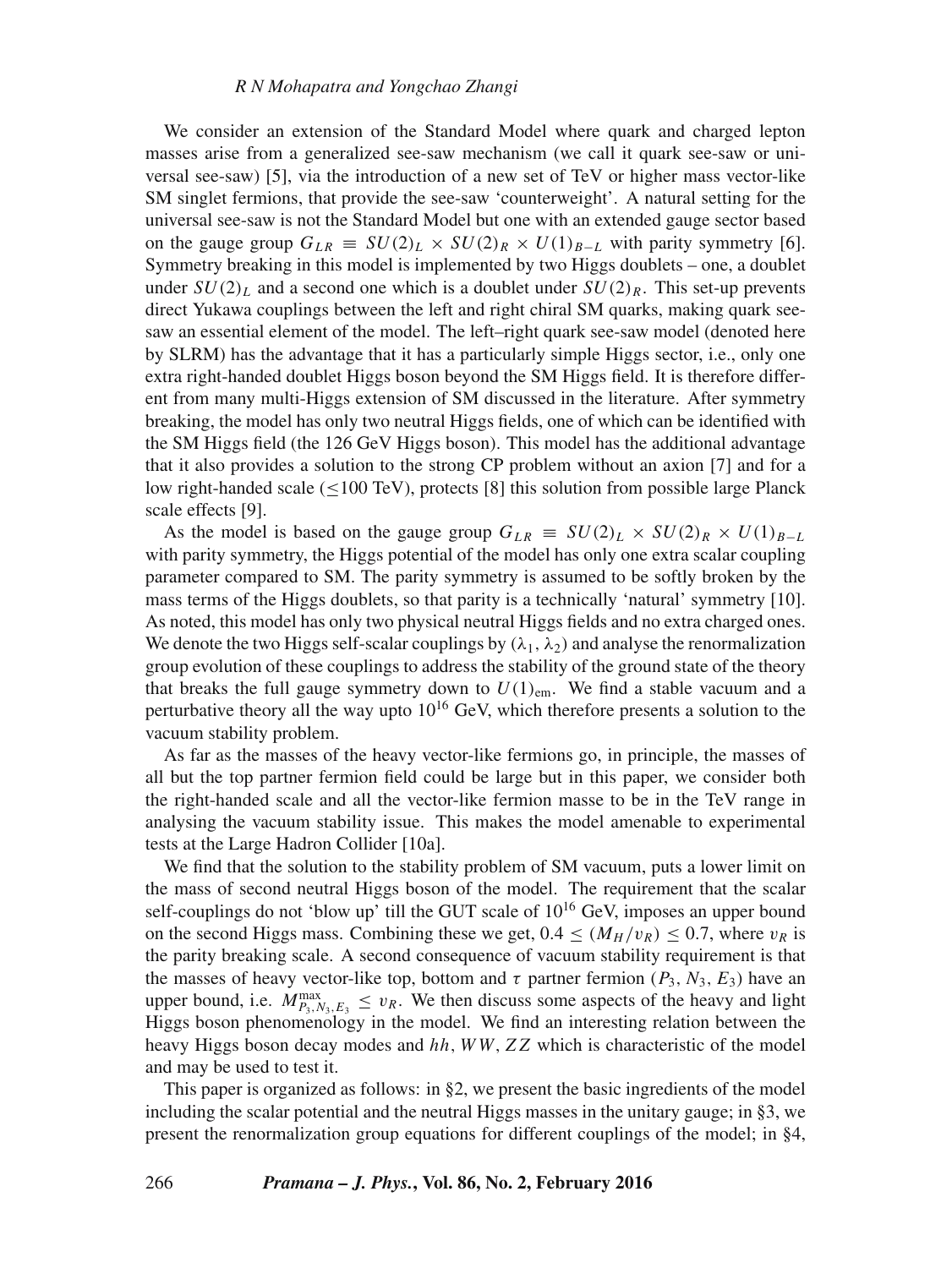We consider an extension of the Standard Model where quark and charged lepton masses arise from a generalized see-saw mechanism (we call it quark see-saw or universal see-saw) [5], via the introduction of a new set of TeV or higher mass vector-like SM singlet fermions, that provide the see-saw 'counterweight'. A natural setting for the universal see-saw is not the Standard Model but one with an extended gauge sector based on the gauge group  $G_{LR} \equiv SU(2)_L \times SU(2)_R \times U(1)_{B-L}$  with parity symmetry [6]. Symmetry breaking in this model is implemented by two Higgs doublets – one, a doublet under  $SU(2)_L$  and a second one which is a doublet under  $SU(2)_R$ . This set-up prevents direct Yukawa couplings between the left and right chiral SM quarks, making quark seesaw an essential element of the model. The left–right quark see-saw model (denoted here by SLRM) has the advantage that it has a particularly simple Higgs sector, i.e., only one extra right-handed doublet Higgs boson beyond the SM Higgs field. It is therefore different from many multi-Higgs extension of SM discussed in the literature. After symmetry breaking, the model has only two neutral Higgs fields, one of which can be identified with the SM Higgs field (the 126 GeV Higgs boson). This model has the additional advantage that it also provides a solution to the strong CP problem without an axion [7] and for a low right-handed scale  $(<100 \text{ TeV})$ , protects [8] this solution from possible large Planck scale effects [9].

As the model is based on the gauge group  $G_{LR} \equiv SU(2)_L \times SU(2)_R \times U(1)_{B-L}$ with parity symmetry, the Higgs potential of the model has only one extra scalar coupling parameter compared to SM. The parity symmetry is assumed to be softly broken by the mass terms of the Higgs doublets, so that parity is a technically 'natural' symmetry [10]. As noted, this model has only two physical neutral Higgs fields and no extra charged ones. We denote the two Higgs self-scalar couplings by  $(\lambda_1, \lambda_2)$  and analyse the renormalization group evolution of these couplings to address the stability of the ground state of the theory that breaks the full gauge symmetry down to  $U(1)_{\text{em}}$ . We find a stable vacuum and a perturbative theory all the way upto  $10^{16}$  GeV, which therefore presents a solution to the vacuum stability problem.

As far as the masses of the heavy vector-like fermions go, in principle, the masses of all but the top partner fermion field could be large but in this paper, we consider both the right-handed scale and all the vector-like fermion masse to be in the TeV range in analysing the vacuum stability issue. This makes the model amenable to experimental tests at the Large Hadron Collider [10a].

We find that the solution to the stability problem of SM vacuum, puts a lower limit on the mass of second neutral Higgs boson of the model. The requirement that the scalar self-couplings do not 'blow up' till the GUT scale of  $10^{16}$  GeV, imposes an upper bound on the second Higgs mass. Combining these we get,  $0.4 < (M_H/v_R) < 0.7$ , where  $v_R$  is the parity breaking scale. A second consequence of vacuum stability requirement is that the masses of heavy vector-like top, bottom and  $\tau$  partner fermion ( $P_3$ ,  $N_3$ ,  $E_3$ ) have an upper bound, i.e.  $M_{P_3,N_3,E_3}^{\max} \leq v_R$ . We then discuss some aspects of the heavy and light Higgs boson phenomenology in the model. We find an interesting relation between the heavy Higgs boson decay modes and hh, WW, ZZ which is characteristic of the model and may be used to test it.

This paper is organized as follows: in §2, we present the basic ingredients of the model including the scalar potential and the neutral Higgs masses in the unitary gauge; in §3, we present the renormalization group equations for different couplings of the model; in §4,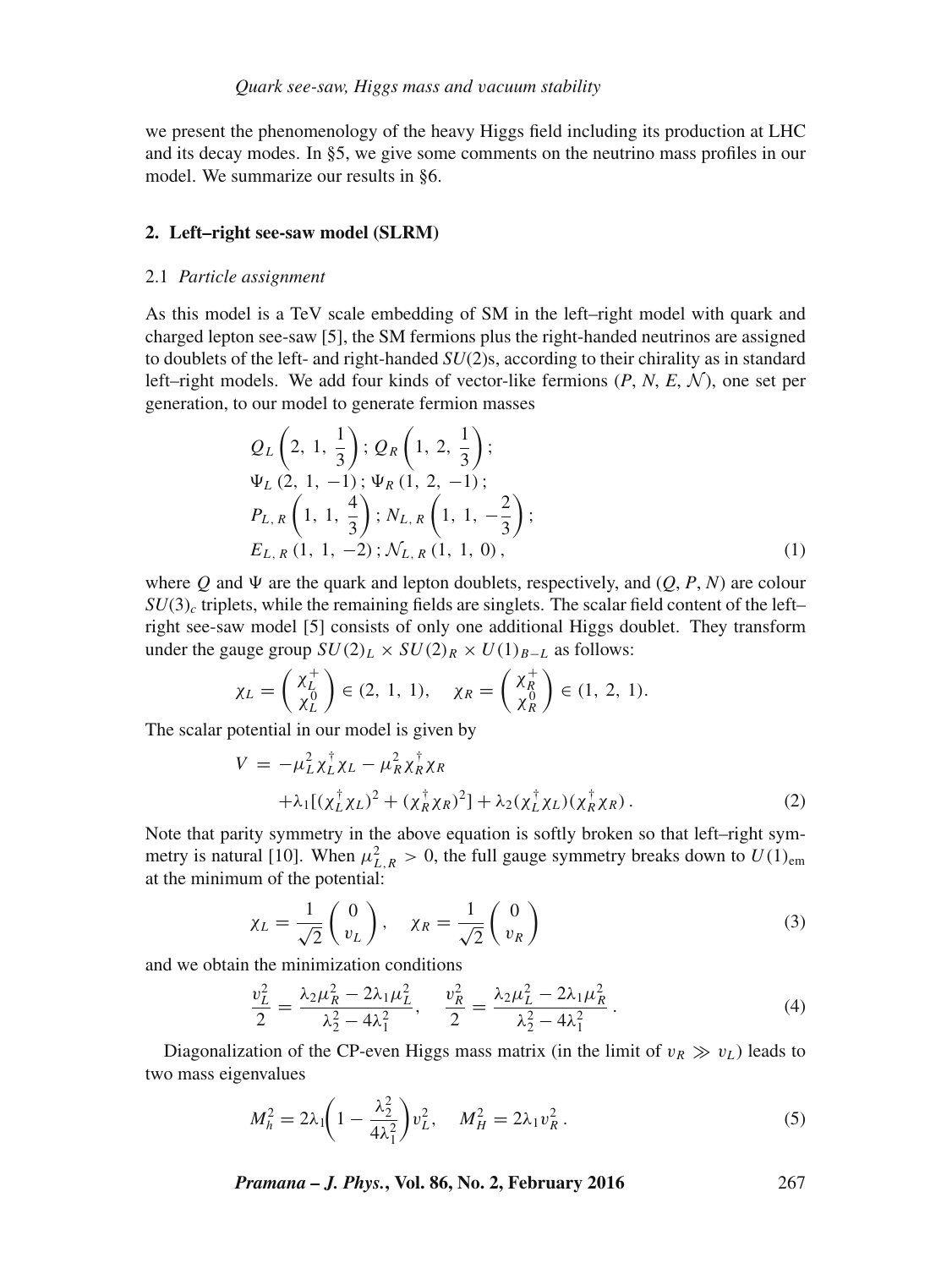we present the phenomenology of the heavy Higgs field including its production at LHC and its decay modes. In §5, we give some comments on the neutrino mass profiles in our model. We summarize our results in §6.

## **2. Left–right see-saw model (SLRM)**

#### 2.1 *Particle assignment*

As this model is a TeV scale embedding of SM in the left–right model with quark and charged lepton see-saw [5], the SM fermions plus the right-handed neutrinos are assigned to doublets of the left- and right-handed *SU*(2)s, according to their chirality as in standard left–right models. We add four kinds of vector-like fermions  $(P, N, E, \mathcal{N})$ , one set per generation, to our model to generate fermion masses

$$
Q_L\left(2, 1, \frac{1}{3}\right); Q_R\left(1, 2, \frac{1}{3}\right);
$$
  
\n
$$
\Psi_L\left(2, 1, -1\right); \Psi_R\left(1, 2, -1\right);
$$
  
\n
$$
P_{L,R}\left(1, 1, \frac{4}{3}\right); N_{L,R}\left(1, 1, -\frac{2}{3}\right);
$$
  
\n
$$
E_{L,R}\left(1, 1, -2\right); \mathcal{N}_{L,R}\left(1, 1, 0\right),
$$
  
\n(1)

where Q and  $\Psi$  are the quark and lepton doublets, respectively, and  $(O, P, N)$  are colour  $SU(3)$ <sub>c</sub> triplets, while the remaining fields are singlets. The scalar field content of the left– right see-saw model [5] consists of only one additional Higgs doublet. They transform under the gauge group  $SU(2)_L \times SU(2)_R \times U(1)_{B-L}$  as follows:

$$
\chi_L = \begin{pmatrix} \chi_L^+ \\ \chi_L^0 \end{pmatrix} \in (2, 1, 1), \quad \chi_R = \begin{pmatrix} \chi_R^+ \\ \chi_R^0 \end{pmatrix} \in (1, 2, 1).
$$

The scalar potential in our model is given by

$$
V = -\mu_L^2 \chi_L^{\dagger} \chi_L - \mu_R^2 \chi_R^{\dagger} \chi_R
$$
  
 
$$
+ \lambda_1 [(\chi_L^{\dagger} \chi_L)^2 + (\chi_R^{\dagger} \chi_R)^2] + \lambda_2 (\chi_L^{\dagger} \chi_L) (\chi_R^{\dagger} \chi_R).
$$
 (2)

Note that parity symmetry in the above equation is softly broken so that left–right symmetry is natural [10]. When  $\mu_{L,R}^2 > 0$ , the full gauge symmetry breaks down to  $U(1)_{em}$ at the minimum of the potential:

$$
\chi_L = \frac{1}{\sqrt{2}} \begin{pmatrix} 0 \\ v_L \end{pmatrix}, \quad \chi_R = \frac{1}{\sqrt{2}} \begin{pmatrix} 0 \\ v_R \end{pmatrix} \tag{3}
$$

and we obtain the minimization conditions

$$
\frac{v_L^2}{2} = \frac{\lambda_2 \mu_R^2 - 2\lambda_1 \mu_L^2}{\lambda_2^2 - 4\lambda_1^2}, \quad \frac{v_R^2}{2} = \frac{\lambda_2 \mu_L^2 - 2\lambda_1 \mu_R^2}{\lambda_2^2 - 4\lambda_1^2} \,. \tag{4}
$$

Diagonalization of the CP-even Higgs mass matrix (in the limit of  $v_R \gg v_L$ ) leads to two mass eigenvalues

$$
M_h^2 = 2\lambda_1 \left( 1 - \frac{\lambda_2^2}{4\lambda_1^2} \right) v_L^2, \quad M_H^2 = 2\lambda_1 v_R^2 \,. \tag{5}
$$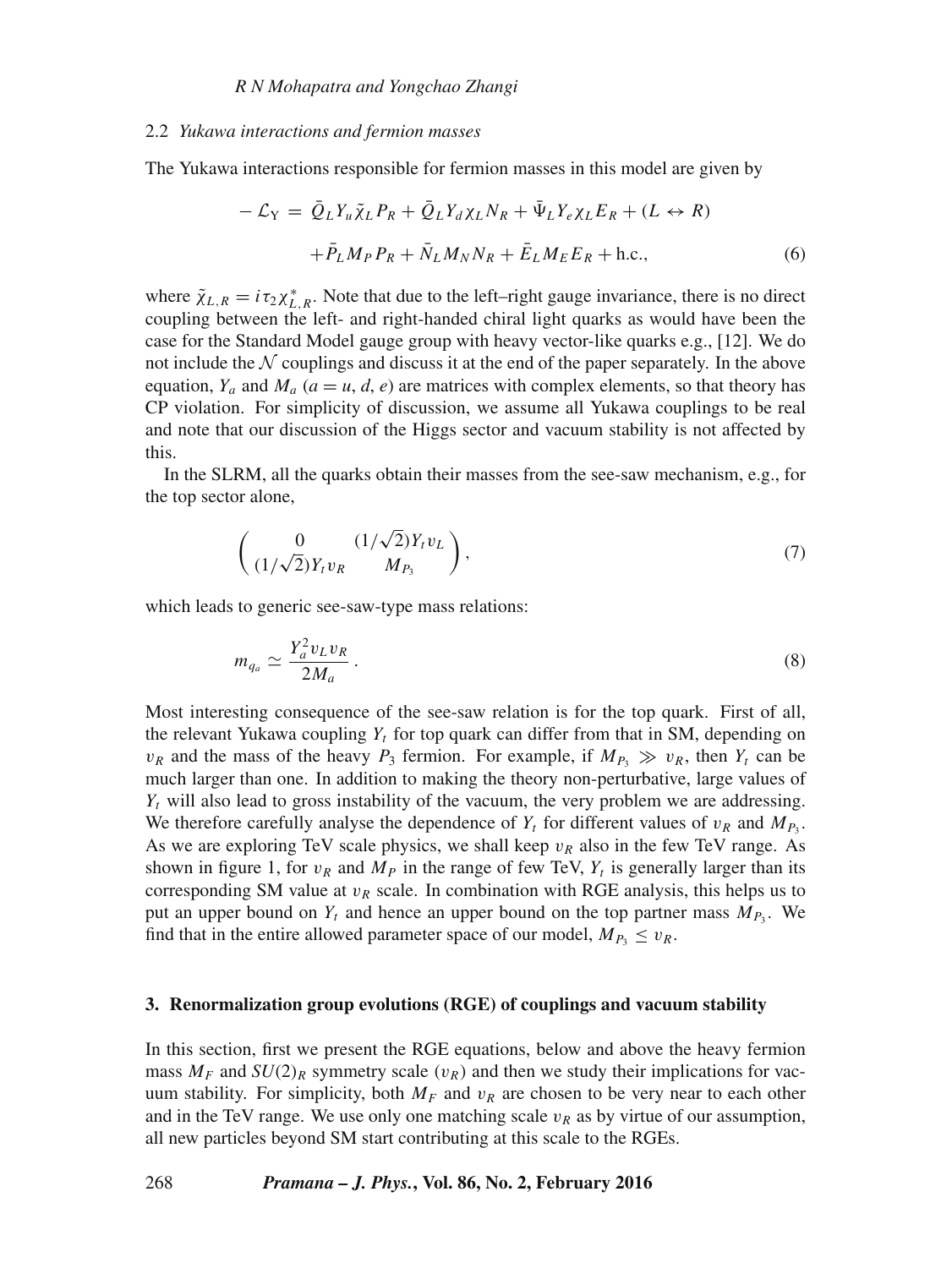#### 2.2 *Yukawa interactions and fermion masses*

The Yukawa interactions responsible for fermion masses in this model are given by

$$
-\mathcal{L}_{Y} = \bar{Q}_{L}Y_{u}\tilde{\chi}_{L}P_{R} + \bar{Q}_{L}Y_{d}\chi_{L}N_{R} + \bar{\Psi}_{L}Y_{e}\chi_{L}E_{R} + (L \leftrightarrow R)
$$

$$
+\bar{P}_{L}M_{P}P_{R} + \bar{N}_{L}M_{N}N_{R} + \bar{E}_{L}M_{E}E_{R} + \text{h.c.}, \tag{6}
$$

where  $\tilde{\chi}_{L,R} = i \tau_2 \chi_{L,R}^*$ . Note that due to the left–right gauge invariance, there is no direct coupling between the left- and right-handed chiral light quarks as would have been the case for the Standard Model gauge group with heavy vector-like quarks e.g., [12]. We do not include the  $N$  couplings and discuss it at the end of the paper separately. In the above equation,  $Y_a$  and  $M_a$  ( $a = u, d, e$ ) are matrices with complex elements, so that theory has CP violation. For simplicity of discussion, we assume all Yukawa couplings to be real and note that our discussion of the Higgs sector and vacuum stability is not affected by this.

In the SLRM, all the quarks obtain their masses from the see-saw mechanism, e.g., for the top sector alone,

$$
\left(\begin{array}{cc} 0 & (1/\sqrt{2})Y_t v_L \\ (1/\sqrt{2})Y_t v_R & M_{P_3} \end{array}\right),\tag{7}
$$

which leads to generic see-saw-type mass relations:

$$
m_{q_a} \simeq \frac{Y_a^2 v_L v_R}{2M_a} \,. \tag{8}
$$

Most interesting consequence of the see-saw relation is for the top quark. First of all, the relevant Yukawa coupling  $Y_t$  for top quark can differ from that in SM, depending on  $v_R$  and the mass of the heavy  $P_3$  fermion. For example, if  $M_{P_3} \gg v_R$ , then  $Y_t$  can be much larger than one. In addition to making the theory non-perturbative, large values of  $Y_t$  will also lead to gross instability of the vacuum, the very problem we are addressing. We therefore carefully analyse the dependence of  $Y_t$  for different values of  $v_R$  and  $M_{P_3}$ . As we are exploring TeV scale physics, we shall keep  $v_R$  also in the few TeV range. As shown in figure 1, for  $v_R$  and  $M_P$  in the range of few TeV,  $Y_t$  is generally larger than its corresponding SM value at  $v_R$  scale. In combination with RGE analysis, this helps us to put an upper bound on  $Y_t$  and hence an upper bound on the top partner mass  $M_{P_3}$ . We find that in the entire allowed parameter space of our model,  $M_{P_3} \leq v_R$ .

#### **3. Renormalization group evolutions (RGE) of couplings and vacuum stability**

In this section, first we present the RGE equations, below and above the heavy fermion mass  $M_F$  and  $SU(2)_R$  symmetry scale ( $v_R$ ) and then we study their implications for vacuum stability. For simplicity, both  $M_F$  and  $v_R$  are chosen to be very near to each other and in the TeV range. We use only one matching scale  $v_R$  as by virtue of our assumption, all new particles beyond SM start contributing at this scale to the RGEs.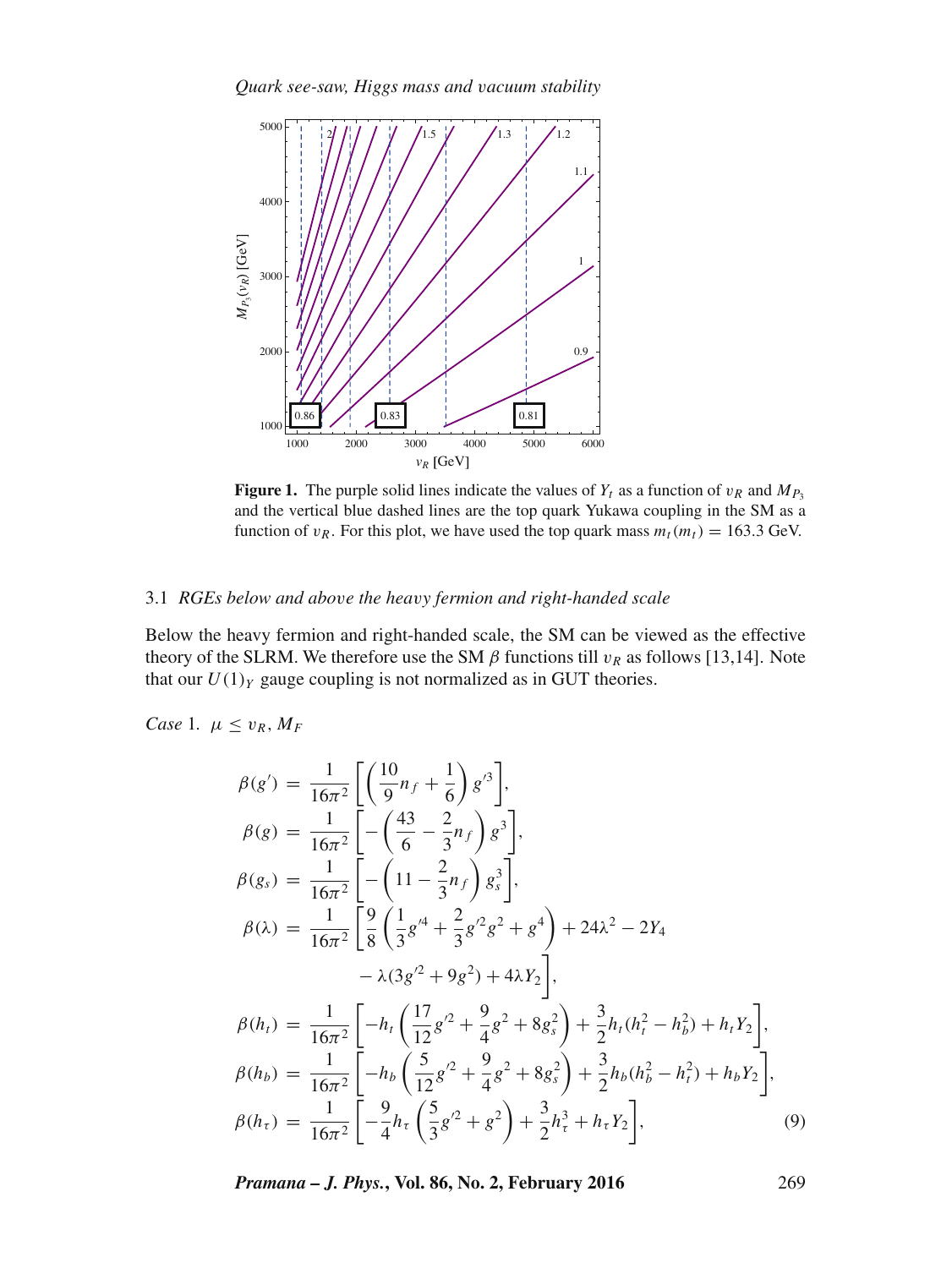*Quark see-saw, Higgs mass and* v*acuum stability*



**Figure 1.** The purple solid lines indicate the values of  $Y_t$  as a function of  $v_R$  and  $M_{P_3}$ and the vertical blue dashed lines are the top quark Yukawa coupling in the SM as a function of  $v_R$ . For this plot, we have used the top quark mass  $m_t(m_t) = 163.3$  GeV.

## 3.1 *RGEs below and abo*v*e the hea*v*y fermion and right-handed scale*

Below the heavy fermion and right-handed scale, the SM can be viewed as the effective theory of the SLRM. We therefore use the SM  $\beta$  functions till  $v_R$  as follows [13,14]. Note that our  $U(1)_Y$  gauge coupling is not normalized as in GUT theories.

*Case* 1*.*  $\mu \leq v_R, M_F$ 

$$
\beta(g') = \frac{1}{16\pi^2} \left[ \left( \frac{10}{9} n_f + \frac{1}{6} \right) g'^3 \right],
$$
  
\n
$$
\beta(g) = \frac{1}{16\pi^2} \left[ -\left( \frac{43}{6} - \frac{2}{3} n_f \right) g^3 \right],
$$
  
\n
$$
\beta(g_s) = \frac{1}{16\pi^2} \left[ -\left( 11 - \frac{2}{3} n_f \right) g_s^3 \right],
$$
  
\n
$$
\beta(\lambda) = \frac{1}{16\pi^2} \left[ \frac{9}{8} \left( \frac{1}{3} g'^4 + \frac{2}{3} g'^2 g^2 + g^4 \right) + 24 \lambda^2 - 2 Y_4 \right. \\ \n- \lambda (3g'^2 + 9g^2) + 4\lambda Y_2 \right],
$$
  
\n
$$
\beta(h_t) = \frac{1}{16\pi^2} \left[ -h_t \left( \frac{17}{12} g'^2 + \frac{9}{4} g^2 + 8g_s^2 \right) + \frac{3}{2} h_t (h_t^2 - h_b^2) + h_t Y_2 \right],
$$
  
\n
$$
\beta(h_b) = \frac{1}{16\pi^2} \left[ -h_b \left( \frac{5}{12} g'^2 + \frac{9}{4} g^2 + 8g_s^2 \right) + \frac{3}{2} h_b (h_b^2 - h_t^2) + h_b Y_2 \right],
$$
  
\n
$$
\beta(h_t) = \frac{1}{16\pi^2} \left[ -\frac{9}{4} h_t \left( \frac{5}{3} g'^2 + g^2 \right) + \frac{3}{2} h_t^3 + h_t Y_2 \right],
$$
  
\n(9)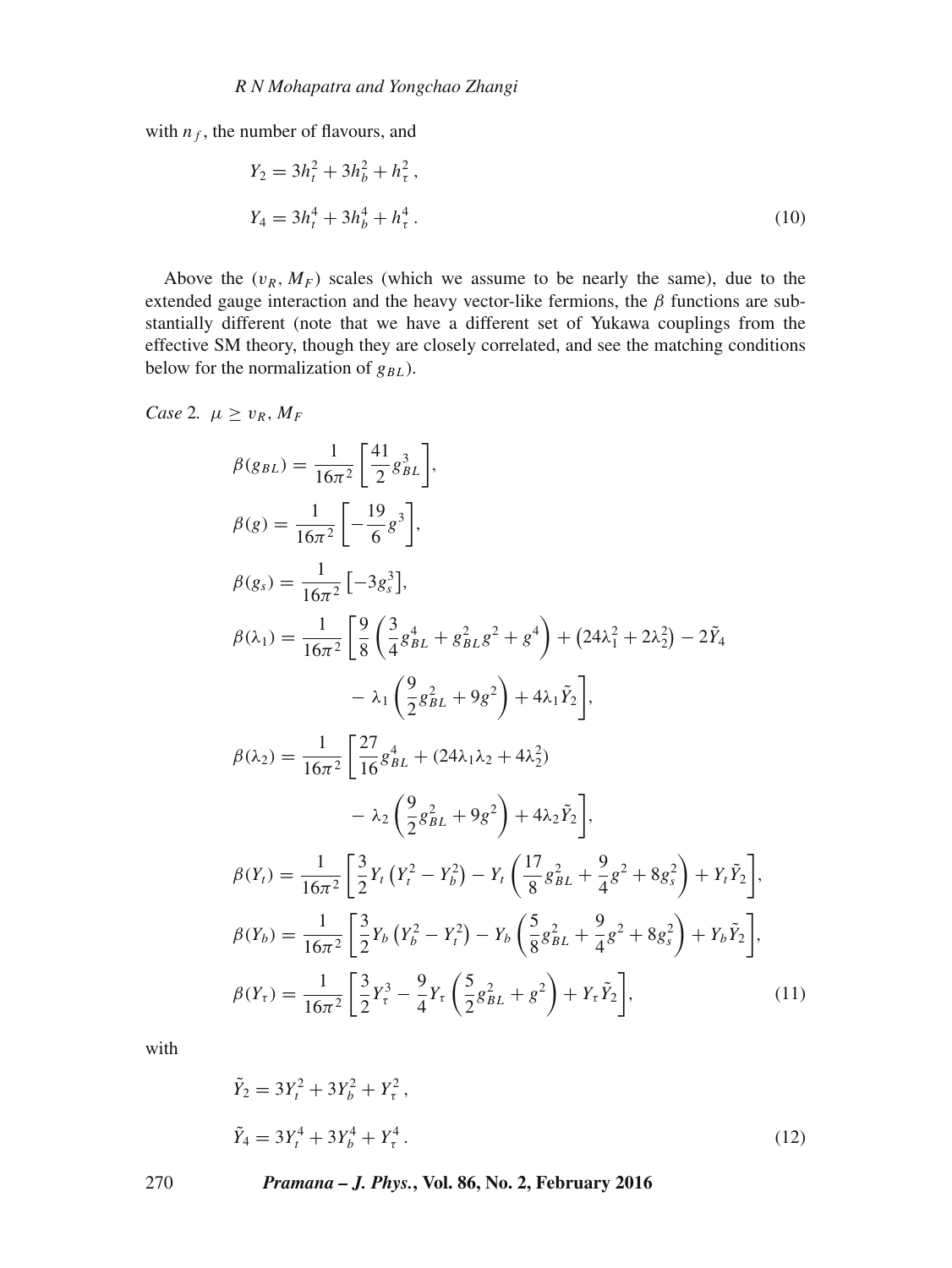with  $n_f$ , the number of flavours, and

$$
Y_2 = 3h_t^2 + 3h_b^2 + h_\tau^2,
$$
  
\n
$$
Y_4 = 3h_t^4 + 3h_b^4 + h_\tau^4.
$$
\n(10)

Above the  $(v_R, M_F)$  scales (which we assume to be nearly the same), due to the extended gauge interaction and the heavy vector-like fermions, the  $\beta$  functions are substantially different (note that we have a different set of Yukawa couplings from the effective SM theory, though they are closely correlated, and see the matching conditions below for the normalization of  $g_{BL}$ ).

Case 2. 
$$
\mu \ge v_R, M_F
$$

$$
\beta(g_{BL}) = \frac{1}{16\pi^2} \left[ \frac{41}{2} g_{BL}^3 \right],
$$
  
\n
$$
\beta(g) = \frac{1}{16\pi^2} \left[ -\frac{19}{6} g^3 \right],
$$
  
\n
$$
\beta(g_s) = \frac{1}{16\pi^2} \left[ -3 g_s^3 \right],
$$
  
\n
$$
\beta(\lambda_1) = \frac{1}{16\pi^2} \left[ \frac{9}{8} \left( \frac{3}{4} g_{BL}^4 + g_{BL}^2 g^2 + g^4 \right) + (24\lambda_1^2 + 2\lambda_2^2) - 2\tilde{Y}_4 \right]
$$
  
\n
$$
- \lambda_1 \left( \frac{9}{2} g_{BL}^2 + 9g^2 \right) + 4\lambda_1 \tilde{Y}_2 \right],
$$
  
\n
$$
\beta(\lambda_2) = \frac{1}{16\pi^2} \left[ \frac{27}{16} g_{BL}^4 + (24\lambda_1 \lambda_2 + 4\lambda_2^2) - \lambda_2 \left( \frac{9}{2} g_{BL}^2 + 9g^2 \right) + 4\lambda_2 \tilde{Y}_2 \right],
$$
  
\n
$$
\beta(Y_t) = \frac{1}{16\pi^2} \left[ \frac{3}{2} Y_t \left( Y_t^2 - Y_b^2 \right) - Y_t \left( \frac{17}{8} g_{BL}^2 + \frac{9}{4} g^2 + 8g_s^2 \right) + Y_t \tilde{Y}_2 \right],
$$
  
\n
$$
\beta(Y_b) = \frac{1}{16\pi^2} \left[ \frac{3}{2} Y_b \left( Y_b^2 - Y_t^2 \right) - Y_b \left( \frac{5}{8} g_{BL}^2 + \frac{9}{4} g^2 + 8g_s^2 \right) + Y_b \tilde{Y}_2 \right],
$$
  
\n
$$
\beta(Y_\tau) = \frac{1}{16\pi^2} \left[ \frac{3}{2} Y_s^3 - \frac{9}{4} Y_\tau \left( \frac{5}{2} g_{BL}^2 + g^2 \right) + Y_\tau \tilde{Y}_2 \right],
$$
  
\n(11)

with

$$
\tilde{Y}_2 = 3Y_t^2 + 3Y_b^2 + Y_\tau^2,
$$
\n
$$
\tilde{Y}_4 = 3Y_t^4 + 3Y_b^4 + Y_\tau^4.
$$
\n(12)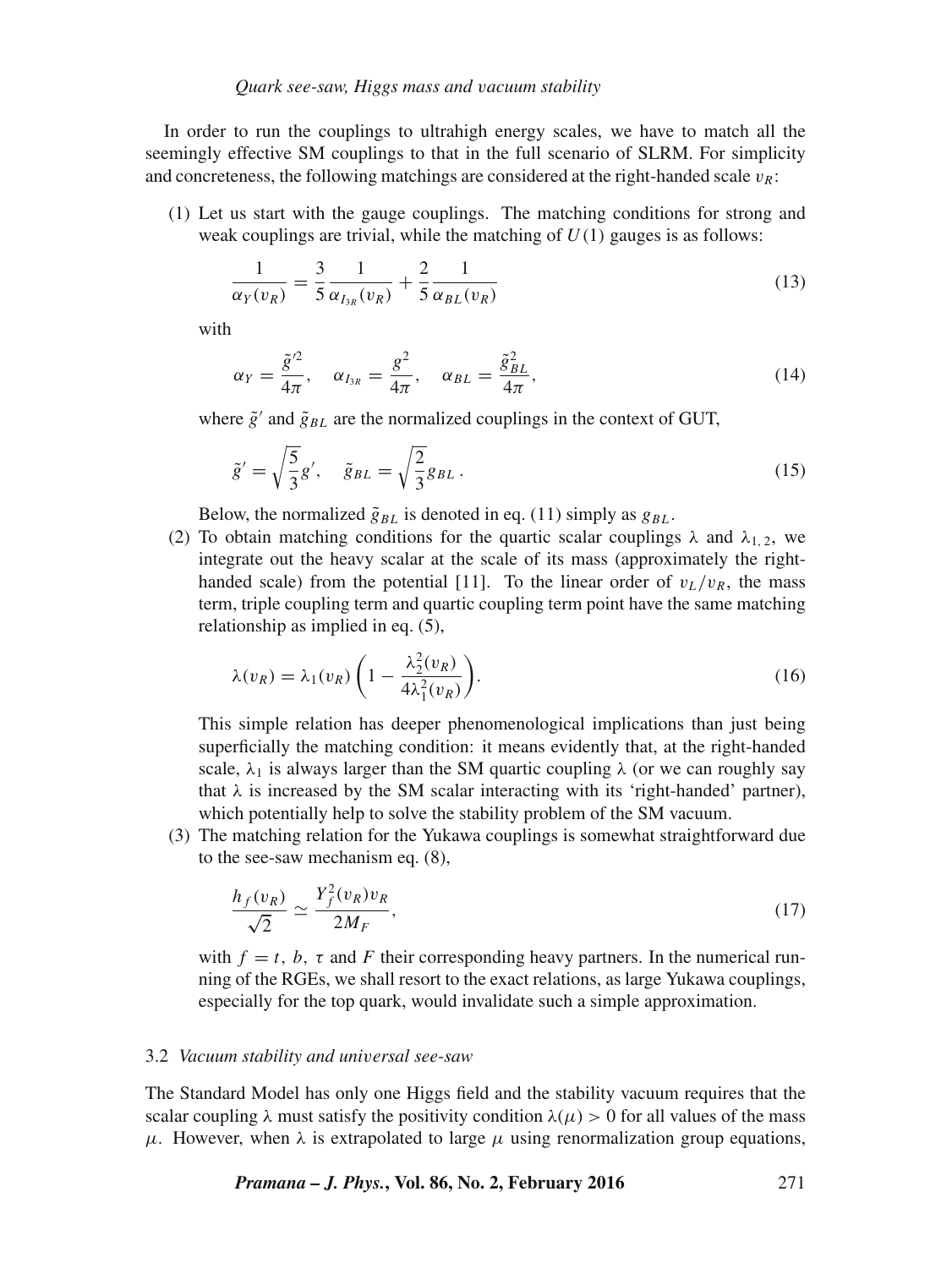In order to run the couplings to ultrahigh energy scales, we have to match all the seemingly effective SM couplings to that in the full scenario of SLRM. For simplicity and concreteness, the following matchings are considered at the right-handed scale  $v_R$ :

(1) Let us start with the gauge couplings. The matching conditions for strong and weak couplings are trivial, while the matching of  $U(1)$  gauges is as follows:

$$
\frac{1}{\alpha_Y(v_R)} = \frac{3}{5} \frac{1}{\alpha_{I_{3R}}(v_R)} + \frac{2}{5} \frac{1}{\alpha_{BL}(v_R)}
$$
(13)

with

$$
\alpha_Y = \frac{\tilde{g}^{\prime 2}}{4\pi}, \quad \alpha_{I_{3R}} = \frac{g^2}{4\pi}, \quad \alpha_{BL} = \frac{\tilde{g}_{BL}^2}{4\pi}, \tag{14}
$$

where  $\tilde{g}'$  and  $\tilde{g}_{BL}$  are the normalized couplings in the context of GUT,

$$
\tilde{g}' = \sqrt{\frac{5}{3}}g', \quad \tilde{g}_{BL} = \sqrt{\frac{2}{3}}g_{BL}.
$$
\n
$$
(15)
$$

Below, the normalized  $\tilde{g}_{BL}$  is denoted in eq. (11) simply as  $g_{BL}$ .

(2) To obtain matching conditions for the quartic scalar couplings  $\lambda$  and  $\lambda_{1,2}$ , we integrate out the heavy scalar at the scale of its mass (approximately the righthanded scale) from the potential [11]. To the linear order of  $v_L/v_R$ , the mass term, triple coupling term and quartic coupling term point have the same matching relationship as implied in eq. (5),

$$
\lambda(v_R) = \lambda_1(v_R) \left( 1 - \frac{\lambda_2^2(v_R)}{4\lambda_1^2(v_R)} \right). \tag{16}
$$

This simple relation has deeper phenomenological implications than just being superficially the matching condition: it means evidently that, at the right-handed scale,  $\lambda_1$  is always larger than the SM quartic coupling  $\lambda$  (or we can roughly say that  $\lambda$  is increased by the SM scalar interacting with its 'right-handed' partner), which potentially help to solve the stability problem of the SM vacuum.

(3) The matching relation for the Yukawa couplings is somewhat straightforward due to the see-saw mechanism eq. (8),

$$
\frac{h_f(v_R)}{\sqrt{2}} \simeq \frac{Y_f^2(v_R)v_R}{2M_F},\tag{17}
$$

with  $f = t$ , b,  $\tau$  and F their corresponding heavy partners. In the numerical running of the RGEs, we shall resort to the exact relations, as large Yukawa couplings, especially for the top quark, would invalidate such a simple approximation.

#### 3.2 *Vacuum stability and uni*v*ersal see-saw*

The Standard Model has only one Higgs field and the stability vacuum requires that the scalar coupling  $\lambda$  must satisfy the positivity condition  $\lambda(\mu) > 0$  for all values of the mass  $\mu$ . However, when  $\lambda$  is extrapolated to large  $\mu$  using renormalization group equations,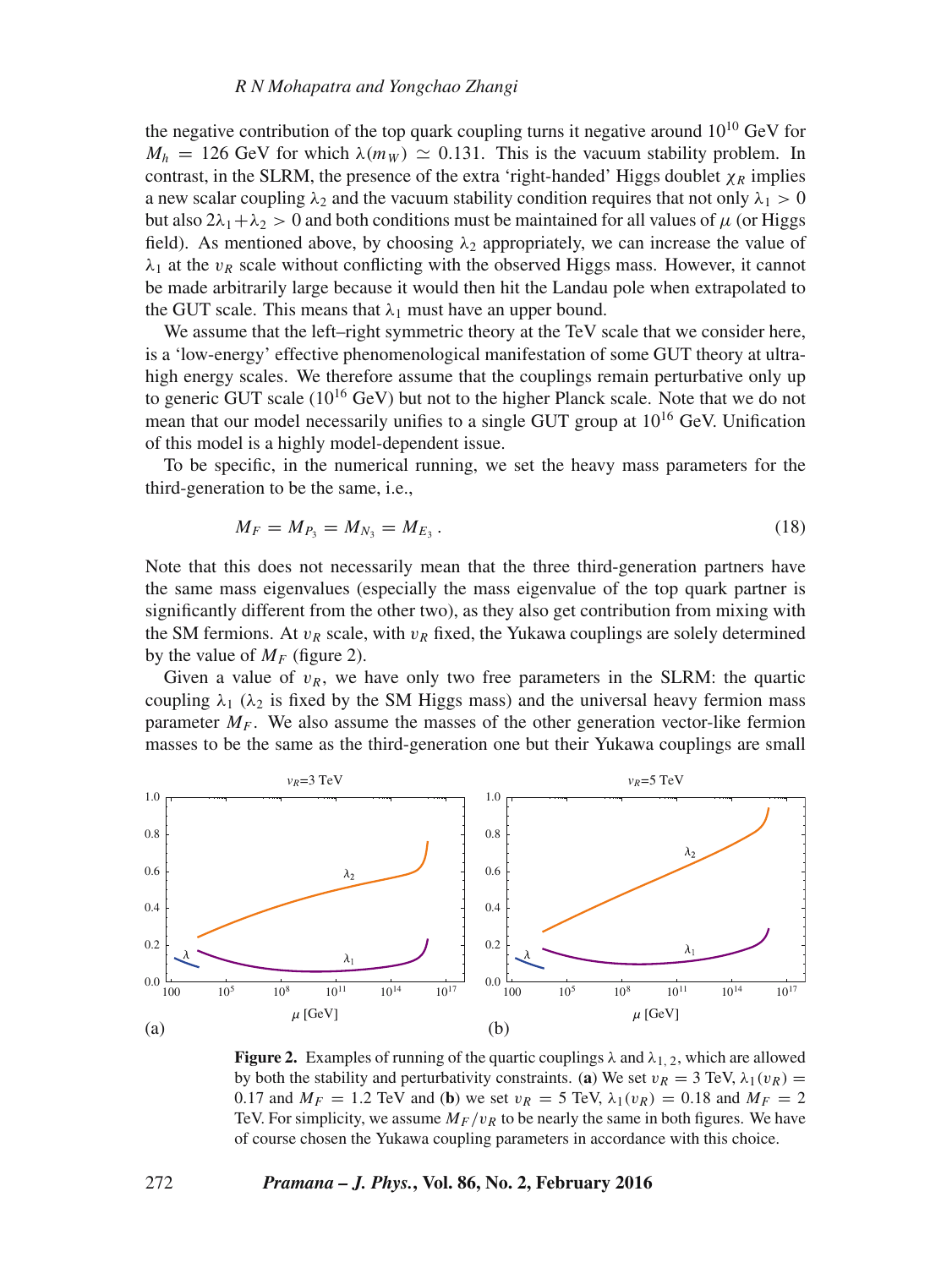the negative contribution of the top quark coupling turns it negative around  $10^{10}$  GeV for  $M_h = 126$  GeV for which  $\lambda(m_W) \simeq 0.131$ . This is the vacuum stability problem. In contrast, in the SLRM, the presence of the extra 'right-handed' Higgs doublet  $\chi_R$  implies a new scalar coupling  $\lambda_2$  and the vacuum stability condition requires that not only  $\lambda_1 > 0$ but also  $2\lambda_1 + \lambda_2 > 0$  and both conditions must be maintained for all values of  $\mu$  (or Higgs field). As mentioned above, by choosing  $\lambda_2$  appropriately, we can increase the value of  $\lambda_1$  at the  $v_R$  scale without conflicting with the observed Higgs mass. However, it cannot be made arbitrarily large because it would then hit the Landau pole when extrapolated to the GUT scale. This means that  $\lambda_1$  must have an upper bound.

We assume that the left–right symmetric theory at the TeV scale that we consider here, is a 'low-energy' effective phenomenological manifestation of some GUT theory at ultrahigh energy scales. We therefore assume that the couplings remain perturbative only up to generic GUT scale  $(10^{16} \text{ GeV})$  but not to the higher Planck scale. Note that we do not mean that our model necessarily unifies to a single GUT group at  $10^{16}$  GeV. Unification of this model is a highly model-dependent issue.

To be specific, in the numerical running, we set the heavy mass parameters for the third-generation to be the same, i.e.,

$$
M_F = M_{P_3} = M_{N_3} = M_{E_3} \,. \tag{18}
$$

Note that this does not necessarily mean that the three third-generation partners have the same mass eigenvalues (especially the mass eigenvalue of the top quark partner is significantly different from the other two), as they also get contribution from mixing with the SM fermions. At  $v_R$  scale, with  $v_R$  fixed, the Yukawa couplings are solely determined by the value of  $M_F$  (figure 2).

Given a value of  $v_R$ , we have only two free parameters in the SLRM: the quartic coupling  $\lambda_1$  ( $\lambda_2$  is fixed by the SM Higgs mass) and the universal heavy fermion mass parameter  $M_F$ . We also assume the masses of the other generation vector-like fermion masses to be the same as the third-generation one but their Yukawa couplings are small



**Figure 2.** Examples of running of the quartic couplings  $\lambda$  and  $\lambda_{1,2}$ , which are allowed by both the stability and perturbativity constraints. (**a**) We set  $v_R = 3$  TeV,  $\lambda_1(v_R) =$ 0.17 and  $M_F = 1.2$  TeV and (**b**) we set  $v_R = 5$  TeV,  $\lambda_1(v_R) = 0.18$  and  $M_F = 2$ TeV. For simplicity, we assume  $M_F/v_R$  to be nearly the same in both figures. We have of course chosen the Yukawa coupling parameters in accordance with this choice.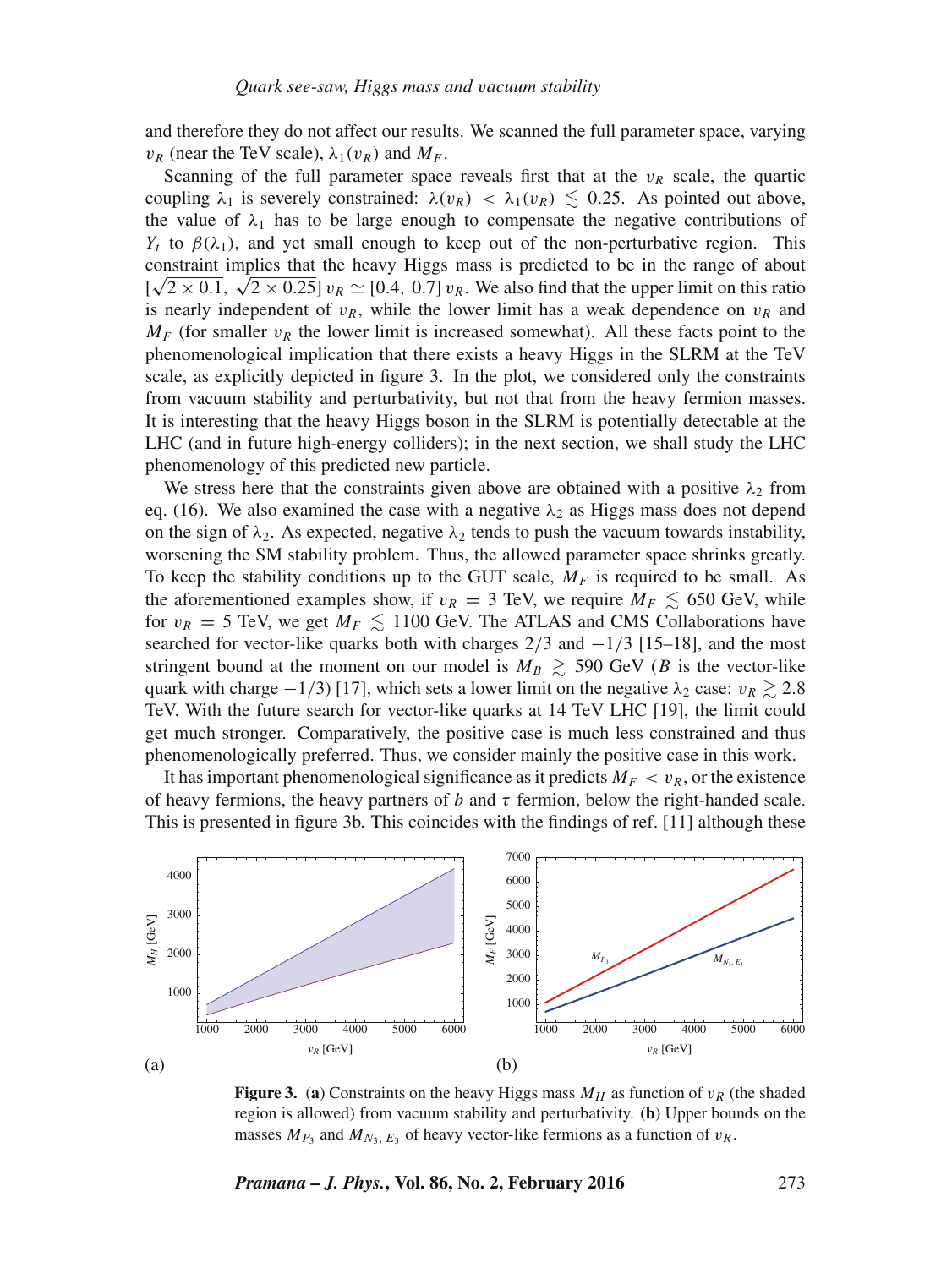and therefore they do not affect our results. We scanned the full parameter space, varying  $v_R$  (near the TeV scale),  $\lambda_1(v_R)$  and  $M_F$ .

Scanning of the full parameter space reveals first that at the  $v_R$  scale, the quartic coupling  $\lambda_1$  is severely constrained:  $\lambda(v_R) < \lambda_1(v_R) \leq 0.25$ . As pointed out above, the value of  $\lambda_1$  has to be large enough to compensate the negative contributions of  $Y_t$  to  $\beta(\lambda_1)$ , and yet small enough to keep out of the non-perturbative region. This constraint implies that the heavy Higgs mass is predicted to be in the range of about !  $\sqrt{2 \times 0.1}$ ,  $\sqrt{2 \times 0.25}$   $v_R \simeq [0.4, 0.7] v_R$ . We also find that the upper limit on this ratio is nearly independent of  $v_R$ , while the lower limit has a weak dependence on  $v_R$  and  $M_F$  (for smaller  $v_R$  the lower limit is increased somewhat). All these facts point to the phenomenological implication that there exists a heavy Higgs in the SLRM at the TeV scale, as explicitly depicted in figure 3. In the plot, we considered only the constraints from vacuum stability and perturbativity, but not that from the heavy fermion masses. It is interesting that the heavy Higgs boson in the SLRM is potentially detectable at the LHC (and in future high-energy colliders); in the next section, we shall study the LHC phenomenology of this predicted new particle.

We stress here that the constraints given above are obtained with a positive  $\lambda_2$  from eq. (16). We also examined the case with a negative  $\lambda_2$  as Higgs mass does not depend on the sign of  $\lambda_2$ . As expected, negative  $\lambda_2$  tends to push the vacuum towards instability, worsening the SM stability problem. Thus, the allowed parameter space shrinks greatly. To keep the stability conditions up to the GUT scale,  $M_F$  is required to be small. As the aforementioned examples show, if  $v_R = 3$  TeV, we require  $M_F \lesssim 650$  GeV, while for  $v_R = 5$  TeV, we get  $M_F \lesssim 1100$  GeV. The ATLAS and CMS Collaborations have searched for vector-like quarks both with charges  $2/3$  and  $-1/3$  [15–18], and the most stringent bound at the moment on our model is  $M_B \gtrsim 590$  GeV (B is the vector-like quark with charge  $-1/3$ ) [17], which sets a lower limit on the negative  $\lambda_2$  case:  $v_R \gtrsim 2.8$ TeV. With the future search for vector-like quarks at 14 TeV LHC [19], the limit could get much stronger. Comparatively, the positive case is much less constrained and thus phenomenologically preferred. Thus, we consider mainly the positive case in this work.

It has important phenomenological significance as it predicts  $M_F < v_R$ , or the existence of heavy fermions, the heavy partners of b and  $\tau$  fermion, below the right-handed scale. This is presented in figure 3b. This coincides with the findings of ref. [11] although these



**Figure 3.** (a) Constraints on the heavy Higgs mass  $M_H$  as function of  $v_R$  (the shaded region is allowed) from vacuum stability and perturbativity. (**b**) Upper bounds on the masses  $M_{P_3}$  and  $M_{N_3, E_3}$  of heavy vector-like fermions as a function of  $v_R$ .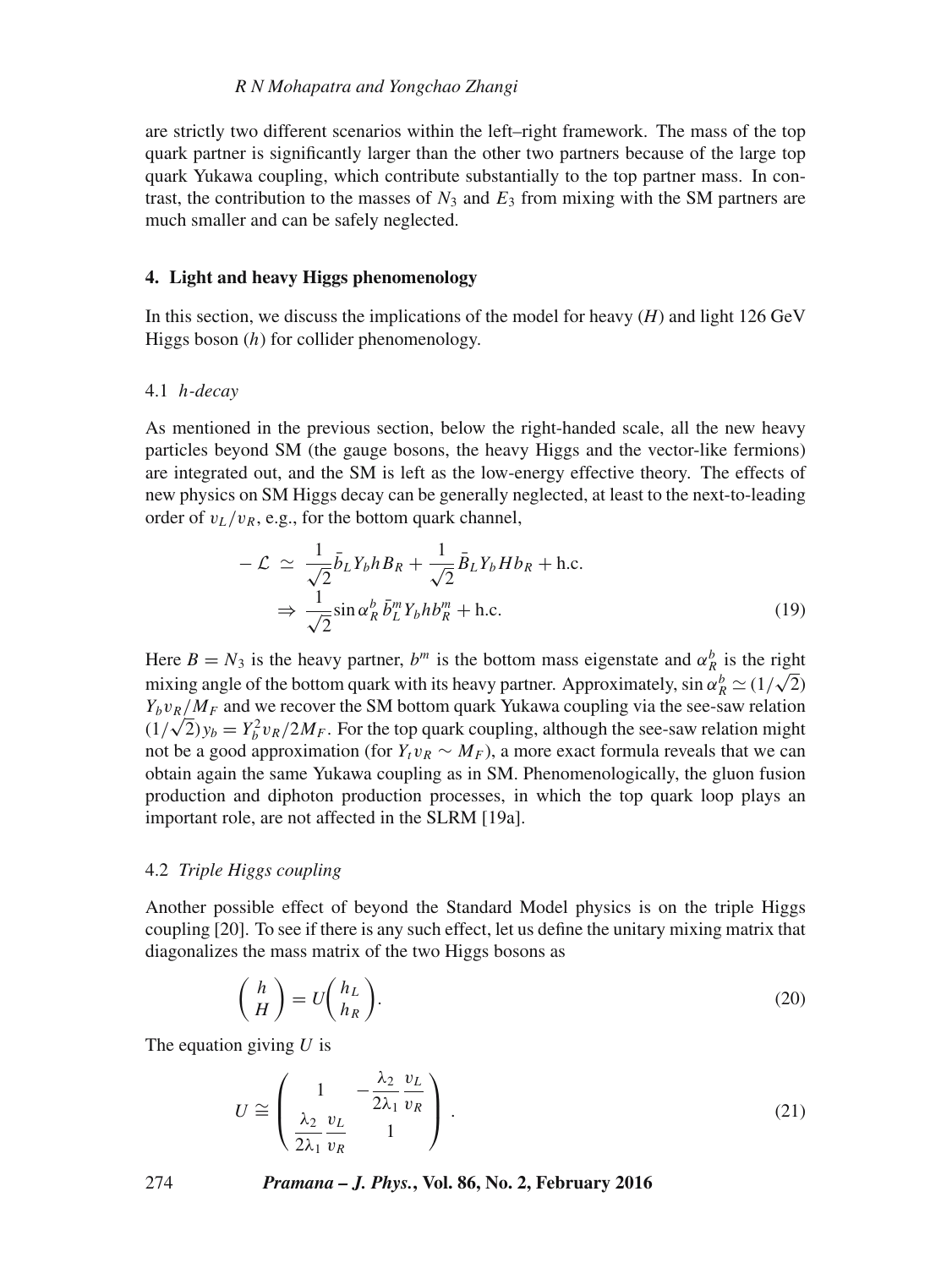## *R N Mohapatra and Yongchao Zhangi*

are strictly two different scenarios within the left–right framework. The mass of the top quark partner is significantly larger than the other two partners because of the large top quark Yukawa coupling, which contribute substantially to the top partner mass. In contrast, the contribution to the masses of  $N_3$  and  $E_3$  from mixing with the SM partners are much smaller and can be safely neglected.

# **4. Light and heavy Higgs phenomenology**

In this section, we discuss the implications of the model for heavy (*H*) and light 126 GeV Higgs boson  $(h)$  for collider phenomenology.

#### 4.1 h*-decay*

As mentioned in the previous section, below the right-handed scale, all the new heavy particles beyond SM (the gauge bosons, the heavy Higgs and the vector-like fermions) are integrated out, and the SM is left as the low-energy effective theory. The effects of new physics on SM Higgs decay can be generally neglected, at least to the next-to-leading order of  $v_L/v_R$ , e.g., for the bottom quark channel,

$$
-\mathcal{L} \simeq \frac{1}{\sqrt{2}} \bar{b}_L Y_b h B_R + \frac{1}{\sqrt{2}} \bar{B}_L Y_b H b_R + \text{h.c.}
$$
  

$$
\Rightarrow \frac{1}{\sqrt{2}} \sin \alpha_R^b \bar{b}_L^m Y_b h b_R^m + \text{h.c.}
$$
(19)

Here  $B = N_3$  is the heavy partner,  $b^m$  is the bottom mass eigenstate and  $\alpha_{R_i}^b$  is the right mixing angle of the bottom quark with its heavy partner. Approximately,  $\sin \alpha_R^b \simeq (1/\sqrt{2})$  $Y_b v_R/M_F$  and we recover the SM bottom quark Yukawa coupling via the see-saw relation  $(1/\sqrt{2})y_b = Y_b^2 v_R/2M_F$ . For the top quark coupling, although the see-saw relation might not be a good approximation (for  $Y_t v_R \sim M_F$ ), a more exact formula reveals that we can obtain again the same Yukawa coupling as in SM. Phenomenologically, the gluon fusion production and diphoton production processes, in which the top quark loop plays an important role, are not affected in the SLRM [19a].

#### 4.2 *Triple Higgs coupling*

Another possible effect of beyond the Standard Model physics is on the triple Higgs coupling [20]. To see if there is any such effect, let us define the unitary mixing matrix that diagonalizes the mass matrix of the two Higgs bosons as

$$
\begin{pmatrix} h \\ H \end{pmatrix} = U \begin{pmatrix} h_L \\ h_R \end{pmatrix} . \tag{20}
$$

The equation giving  $U$  is

$$
U \cong \left(\begin{array}{cc} 1 & -\frac{\lambda_2}{2\lambda_1} \frac{v_L}{v_R} \\ \frac{\lambda_2}{2\lambda_1} \frac{v_L}{v_R} & 1 \end{array}\right) \tag{21}
$$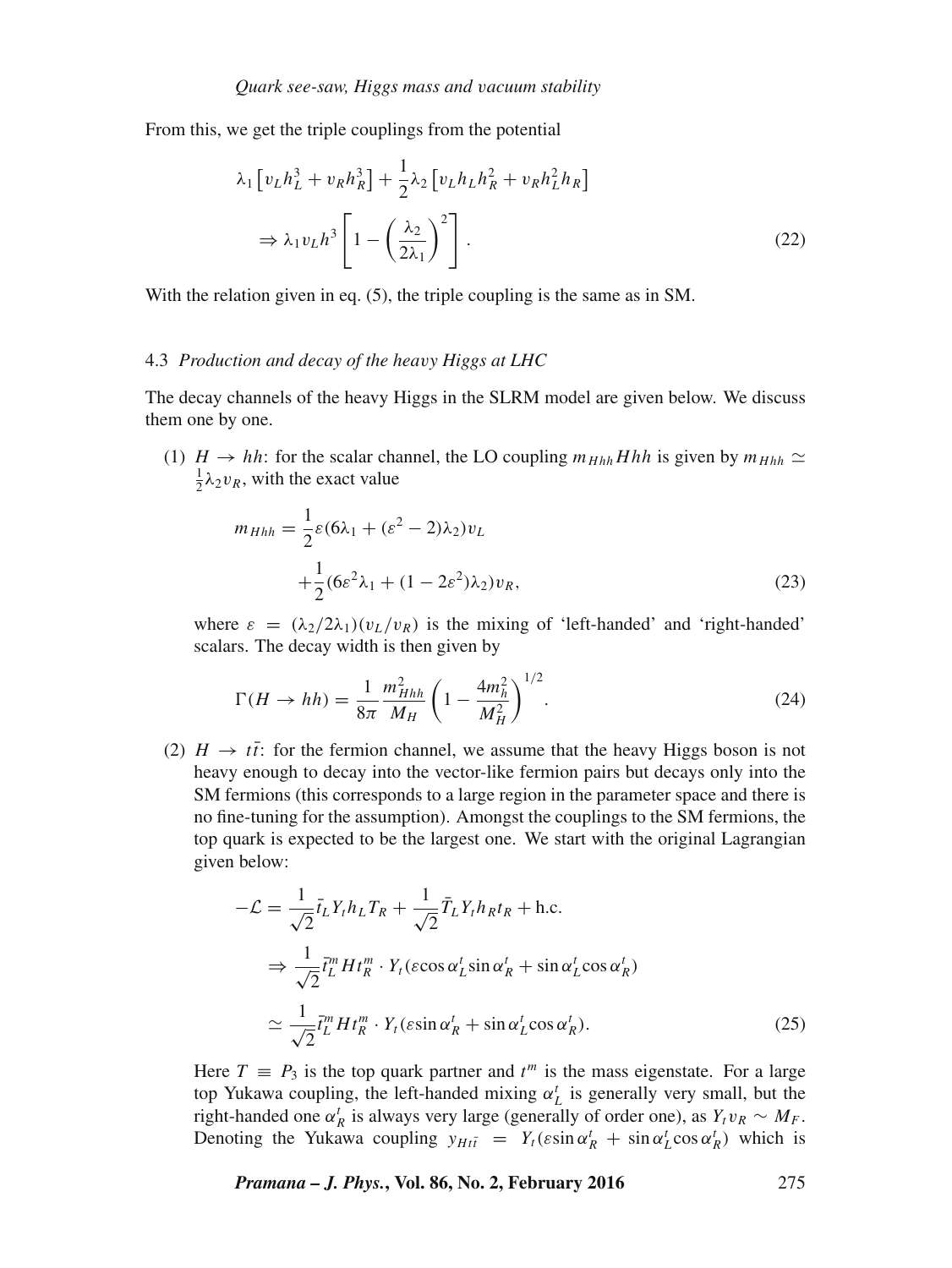From this, we get the triple couplings from the potential

$$
\lambda_1 \left[ v_L h_L^3 + v_R h_R^3 \right] + \frac{1}{2} \lambda_2 \left[ v_L h_L h_R^2 + v_R h_L^2 h_R \right]
$$
\n
$$
\Rightarrow \lambda_1 v_L h^3 \left[ 1 - \left( \frac{\lambda_2}{2\lambda_1} \right)^2 \right]. \tag{22}
$$

With the relation given in eq. (5), the triple coupling is the same as in SM.

## 4.3 *Production and decay of the hea*v*y Higgs at LHC*

The decay channels of the heavy Higgs in the SLRM model are given below. We discuss them one by one.

(1)  $H \rightarrow hh$ : for the scalar channel, the LO coupling  $m_{Hhh}Hhh$  is given by  $m_{Hhh} \simeq$  $\frac{1}{2}\lambda_2 v_R$ , with the exact value

$$
m_{Hhh} = \frac{1}{2}\varepsilon(6\lambda_1 + (\varepsilon^2 - 2)\lambda_2)v_L
$$
  
 
$$
+ \frac{1}{2}(6\varepsilon^2\lambda_1 + (1 - 2\varepsilon^2)\lambda_2)v_R,
$$
 (23)

where  $\varepsilon = (\lambda_2/2\lambda_1)(v_L/v_R)$  is the mixing of 'left-handed' and 'right-handed' scalars. The decay width is then given by

$$
\Gamma(H \to hh) = \frac{1}{8\pi} \frac{m_{Hhh}^2}{M_H} \left(1 - \frac{4m_h^2}{M_H^2}\right)^{1/2}.
$$
\n(24)

(2)  $H \rightarrow t\bar{t}$ : for the fermion channel, we assume that the heavy Higgs boson is not heavy enough to decay into the vector-like fermion pairs but decays only into the SM fermions (this corresponds to a large region in the parameter space and there is no fine-tuning for the assumption). Amongst the couplings to the SM fermions, the top quark is expected to be the largest one. We start with the original Lagrangian given below:

$$
-\mathcal{L} = \frac{1}{\sqrt{2}} \bar{t}_L Y_t h_L T_R + \frac{1}{\sqrt{2}} \bar{T}_L Y_t h_R t_R + \text{h.c.}
$$
  
\n
$$
\Rightarrow \frac{1}{\sqrt{2}} \bar{t}_L^m H t_R^m \cdot Y_t (\varepsilon \cos \alpha_L' \sin \alpha_R' + \sin \alpha_L' \cos \alpha_R')
$$
  
\n
$$
\approx \frac{1}{\sqrt{2}} \bar{t}_L^m H t_R^m \cdot Y_t (\varepsilon \sin \alpha_R' + \sin \alpha_L' \cos \alpha_R').
$$
 (25)

Here  $T \equiv P_3$  is the top quark partner and  $t^m$  is the mass eigenstate. For a large top Yukawa coupling, the left-handed mixing  $\alpha_L^t$  is generally very small, but the right-handed one  $\alpha_R^t$  is always very large (generally of order one), as  $Y_t v_R \sim M_F$ . Denoting the Yukawa coupling  $y_{Hi \bar{i}} = Y_t(\varepsilon \sin \alpha_R^t + \sin \alpha_L^t \cos \alpha_R^t)$  which is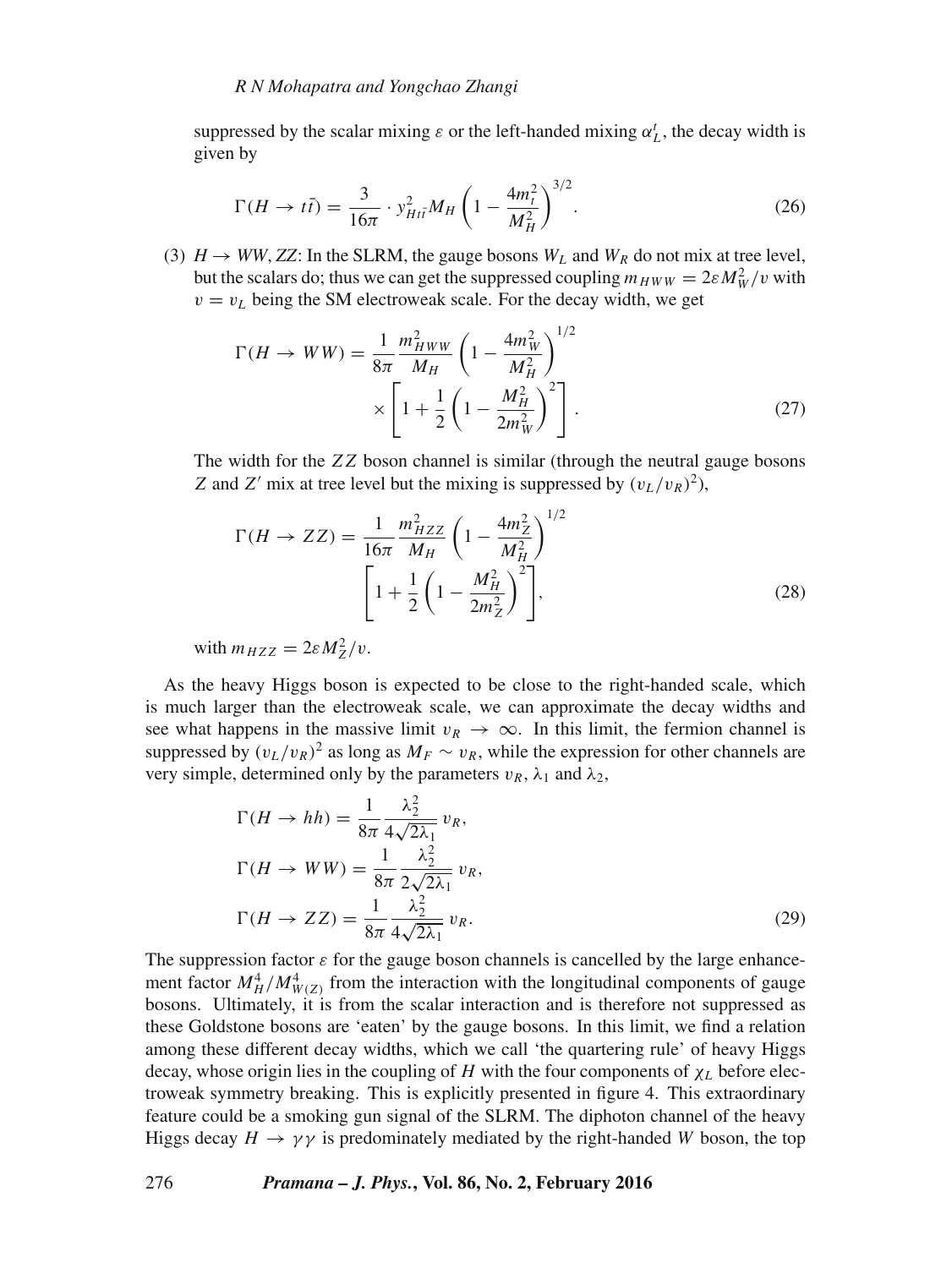suppressed by the scalar mixing  $\varepsilon$  or the left-handed mixing  $\alpha_L^t$ , the decay width is given by

$$
\Gamma(H \to t\bar{t}) = \frac{3}{16\pi} \cdot y_{Hi}^2 M_H \left(1 - \frac{4m_t^2}{M_H^2}\right)^{3/2}.
$$
 (26)

(3)  $H \rightarrow WW, ZZ$ : In the SLRM, the gauge bosons  $W_L$  and  $W_R$  do not mix at tree level, but the scalars do; thus we can get the suppressed coupling  $m_{HWW} = 2\varepsilon M_W^2/v$  with  $v = v<sub>L</sub>$  being the SM electroweak scale. For the decay width, we get

$$
\Gamma(H \to WW) = \frac{1}{8\pi} \frac{m_{HWW}^2}{M_H} \left( 1 - \frac{4m_W^2}{M_H^2} \right)^{1/2} \times \left[ 1 + \frac{1}{2} \left( 1 - \frac{M_H^2}{2m_W^2} \right)^2 \right].
$$
 (27)

The width for the ZZ boson channel is similar (through the neutral gauge bosons Z and Z' mix at tree level but the mixing is suppressed by  $(v_L/v_R)^2$ ),

$$
\Gamma(H \to ZZ) = \frac{1}{16\pi} \frac{m_{HZZ}^2}{M_H} \left( 1 - \frac{4m_Z^2}{M_H^2} \right)^{1/2} \left[ 1 + \frac{1}{2} \left( 1 - \frac{M_H^2}{2m_Z^2} \right)^2 \right],
$$
\n(28)

with  $m_{HZZ} = 2\varepsilon M_Z^2/v$ .

As the heavy Higgs boson is expected to be close to the right-handed scale, which is much larger than the electroweak scale, we can approximate the decay widths and see what happens in the massive limit  $v_R \to \infty$ . In this limit, the fermion channel is suppressed by  $(v_L/v_R)^2$  as long as  $M_F \sim v_R$ , while the expression for other channels are very simple, determined only by the parameters  $v_R$ ,  $\lambda_1$  and  $\lambda_2$ ,

$$
\Gamma(H \to hh) = \frac{1}{8\pi} \frac{\lambda_2^2}{4\sqrt{2\lambda_1}} v_R,
$$
  
\n
$$
\Gamma(H \to WW) = \frac{1}{8\pi} \frac{\lambda_2^2}{2\sqrt{2\lambda_1}} v_R,
$$
  
\n
$$
\Gamma(H \to ZZ) = \frac{1}{8\pi} \frac{\lambda_2^2}{4\sqrt{2\lambda_1}} v_R.
$$
\n(29)

The suppression factor  $\varepsilon$  for the gauge boson channels is cancelled by the large enhancement factor  $M_H^4/M_{W(Z)}^4$  from the interaction with the longitudinal components of gauge bosons. Ultimately, it is from the scalar interaction and is therefore not suppressed as these Goldstone bosons are 'eaten' by the gauge bosons. In this limit, we find a relation among these different decay widths, which we call 'the quartering rule' of heavy Higgs decay, whose origin lies in the coupling of H with the four components of  $\chi_L$  before electroweak symmetry breaking. This is explicitly presented in figure 4. This extraordinary feature could be a smoking gun signal of the SLRM. The diphoton channel of the heavy Higgs decay  $H \to \gamma \gamma$  is predominately mediated by the right-handed W boson, the top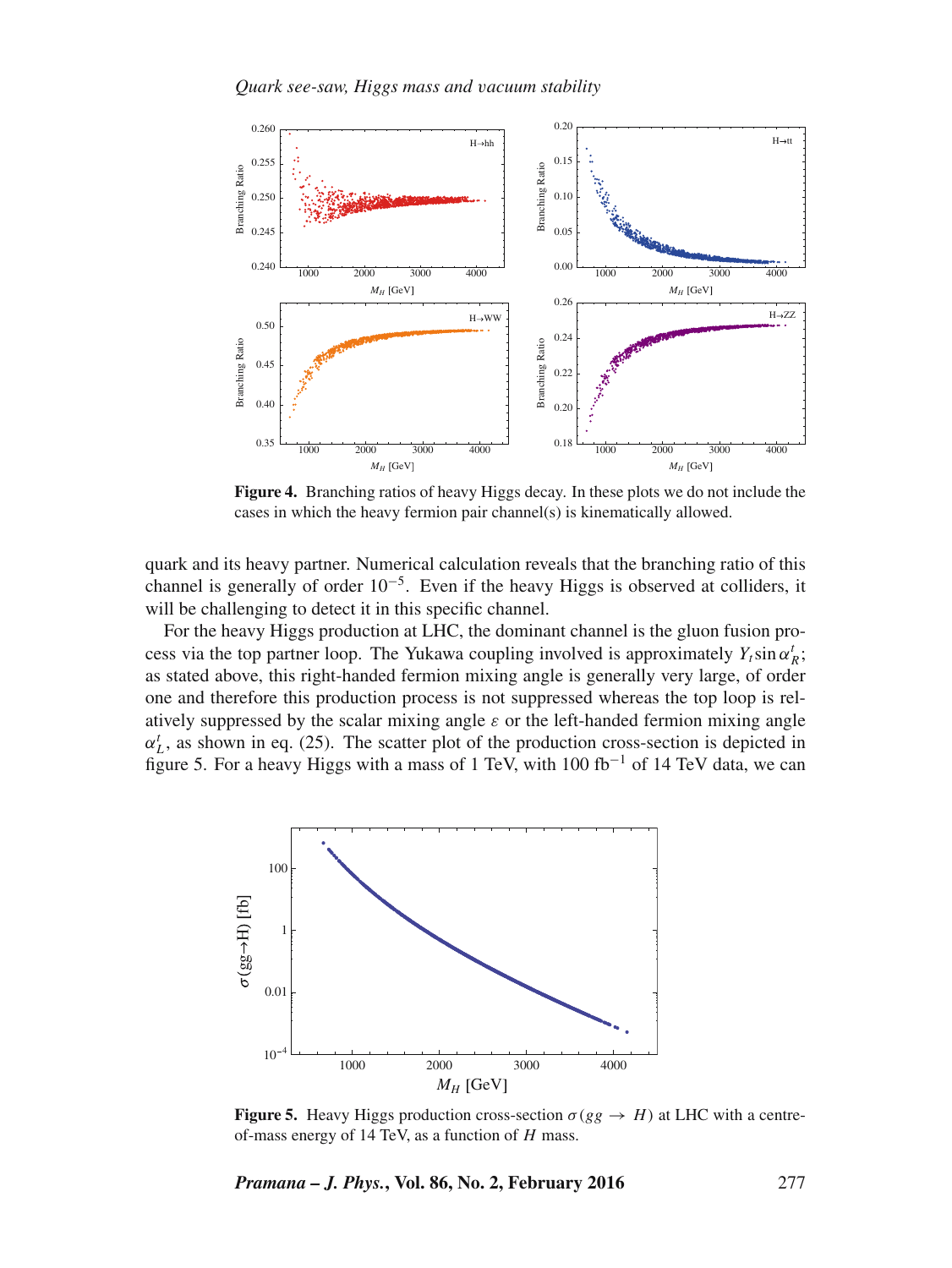

**Figure 4.** Branching ratios of heavy Higgs decay. In these plots we do not include the cases in which the heavy fermion pair channel(s) is kinematically allowed.

quark and its heavy partner. Numerical calculation reveals that the branching ratio of this channel is generally of order 10−<sup>5</sup> . Even if the heavy Higgs is observed at colliders, it will be challenging to detect it in this specific channel.

For the heavy Higgs production at LHC, the dominant channel is the gluon fusion process via the top partner loop. The Yukawa coupling involved is approximately  $Y_t \sin \alpha_k^t$ ; as stated above, this right-handed fermion mixing angle is generally very large, of order one and therefore this production process is not suppressed whereas the top loop is relatively suppressed by the scalar mixing angle  $\varepsilon$  or the left-handed fermion mixing angle  $\alpha_L^t$ , as shown in eq. (25). The scatter plot of the production cross-section is depicted in figure 5. For a heavy Higgs with a mass of 1 TeV, with 100 fb<sup>-1</sup> of 14 TeV data, we can



**Figure 5.** Heavy Higgs production cross-section  $\sigma(gg \rightarrow H)$  at LHC with a centreof-mass energy of 14 TeV, as a function of  $H$  mass.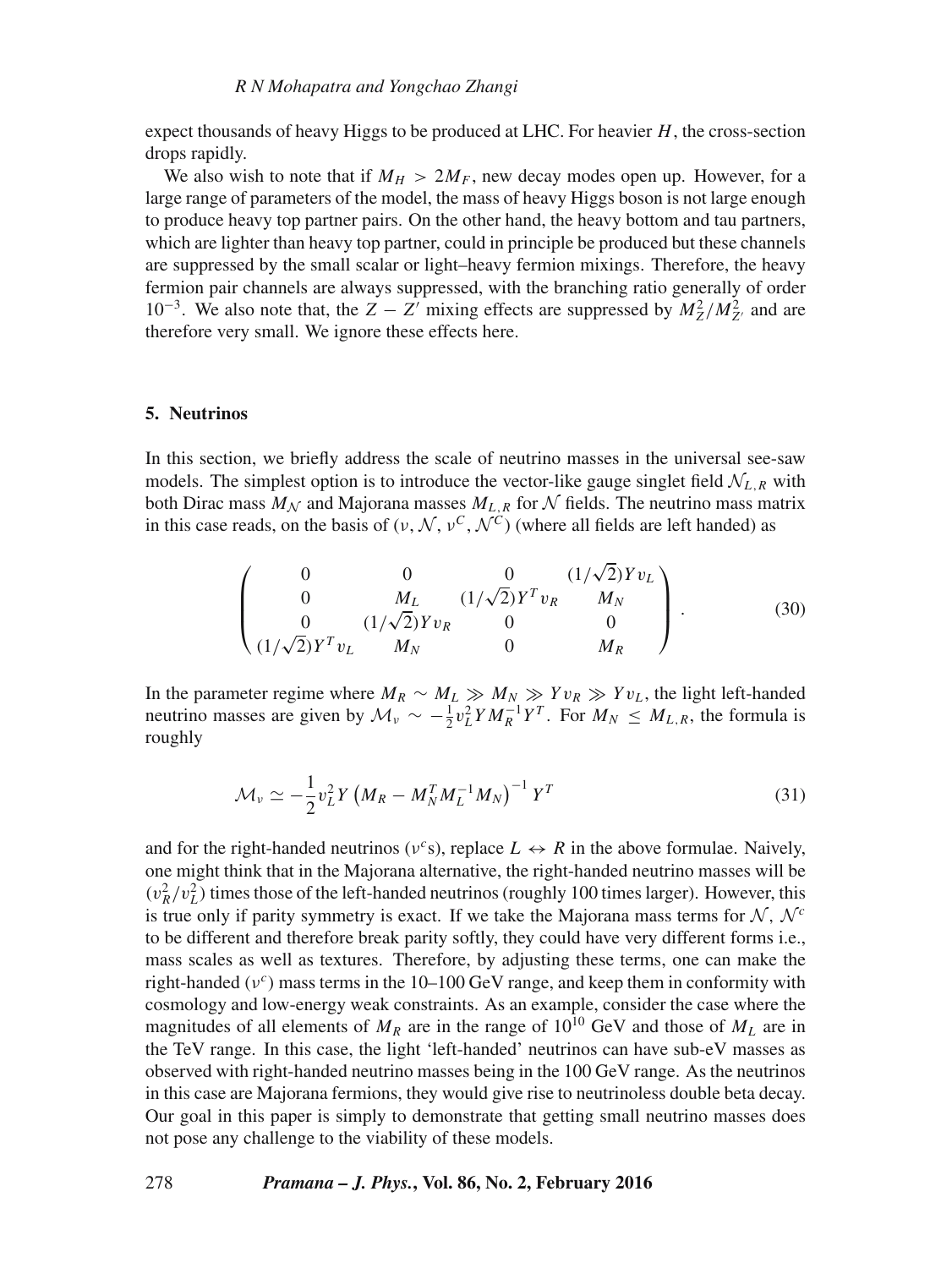expect thousands of heavy Higgs to be produced at LHC. For heavier  $H$ , the cross-section drops rapidly.

We also wish to note that if  $M_H > 2M_F$ , new decay modes open up. However, for a large range of parameters of the model, the mass of heavy Higgs boson is not large enough to produce heavy top partner pairs. On the other hand, the heavy bottom and tau partners, which are lighter than heavy top partner, could in principle be produced but these channels are suppressed by the small scalar or light–heavy fermion mixings. Therefore, the heavy fermion pair channels are always suppressed, with the branching ratio generally of order 10<sup>-3</sup>. We also note that, the  $Z - Z'$  mixing effects are suppressed by  $M_Z^2/M_{Z'}^2$  and are therefore very small. We ignore these effects here.

#### **5. Neutrinos**

In this section, we briefly address the scale of neutrino masses in the universal see-saw models. The simplest option is to introduce the vector-like gauge singlet field  $N_{L,R}$  with both Dirac mass  $M_N$  and Majorana masses  $M_{L,R}$  for N fields. The neutrino mass matrix in this case reads, on the basis of  $(v, \mathcal{N}, v^C, \mathcal{N}^C)$  (where all fields are left handed) as

$$
\begin{pmatrix}\n0 & 0 & 0 & (1/\sqrt{2})Yv_L \\
0 & M_L & (1/\sqrt{2})Y^T v_R & M_N \\
0 & (1/\sqrt{2})Yv_R & 0 & 0 \\
(1/\sqrt{2})Y^T v_L & M_N & 0 & M_R\n\end{pmatrix}.
$$
\n(30)

In the parameter regime where  $M_R \sim M_L \gg M_N \gg Y v_R \gg Y v_L$ , the light left-handed neutrino masses are given by  $\mathcal{M}_{\nu} \sim -\frac{1}{2}v_L^2 Y M_R^{-1} Y^T$ . For  $M_N \leq M_{L,R}$ , the formula is roughly

$$
\mathcal{M}_{\nu} \simeq -\frac{1}{2}v_L^2 Y \left(M_R - M_N^T M_L^{-1} M_N\right)^{-1} Y^T
$$
\n(31)

and for the right-handed neutrinos ( $v^c$ s), replace  $L \leftrightarrow R$  in the above formulae. Naively, one might think that in the Majorana alternative, the right-handed neutrino masses will be  $(v_R^2/v_L^2)$  times those of the left-handed neutrinos (roughly 100 times larger). However, this is true only if parity symmetry is exact. If we take the Majorana mass terms for  $N$ ,  $N^c$ to be different and therefore break parity softly, they could have very different forms i.e., mass scales as well as textures. Therefore, by adjusting these terms, one can make the right-handed ( $v^c$ ) mass terms in the 10–100 GeV range, and keep them in conformity with cosmology and low-energy weak constraints. As an example, consider the case where the magnitudes of all elements of  $M_R$  are in the range of 10<sup>10</sup> GeV and those of  $M_L$  are in the TeV range. In this case, the light 'left-handed' neutrinos can have sub-eV masses as observed with right-handed neutrino masses being in the 100 GeV range. As the neutrinos in this case are Majorana fermions, they would give rise to neutrinoless double beta decay. Our goal in this paper is simply to demonstrate that getting small neutrino masses does not pose any challenge to the viability of these models.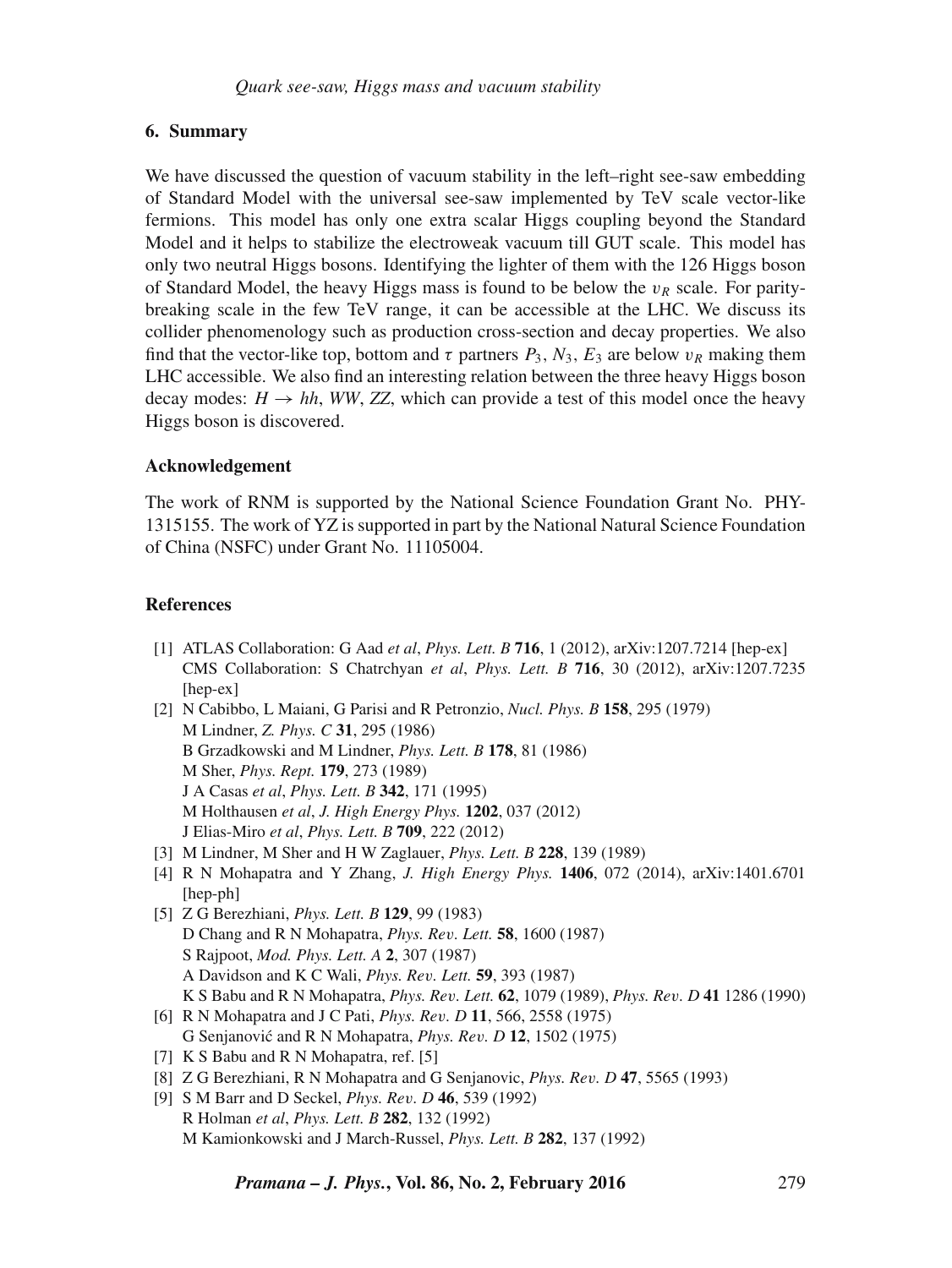# **6. Summary**

We have discussed the question of vacuum stability in the left–right see-saw embedding of Standard Model with the universal see-saw implemented by TeV scale vector-like fermions. This model has only one extra scalar Higgs coupling beyond the Standard Model and it helps to stabilize the electroweak vacuum till GUT scale. This model has only two neutral Higgs bosons. Identifying the lighter of them with the 126 Higgs boson of Standard Model, the heavy Higgs mass is found to be below the  $v_R$  scale. For paritybreaking scale in the few TeV range, it can be accessible at the LHC. We discuss its collider phenomenology such as production cross-section and decay properties. We also find that the vector-like top, bottom and  $\tau$  partners  $P_3$ ,  $N_3$ ,  $E_3$  are below  $v_R$  making them LHC accessible. We also find an interesting relation between the three heavy Higgs boson decay modes:  $H \rightarrow hh$ , *WW*, *ZZ*, which can provide a test of this model once the heavy Higgs boson is discovered.

# **Acknowledgement**

The work of RNM is supported by the National Science Foundation Grant No. PHY-1315155. The work of YZ is supported in part by the National Natural Science Foundation of China (NSFC) under Grant No. 11105004.

# **References**

- [1] ATLAS Collaboration: G Aad *et al*, *Phys. Lett. B* **716**, 1 (2012), arXiv:1207.7214 [hep-ex] CMS Collaboration: S Chatrchyan *et al*, *Phys. Lett. B* **716**, 30 (2012), arXiv:1207.7235 [hep-ex]
- [2] N Cabibbo, L Maiani, G Parisi and R Petronzio, *Nucl. Phys. B* **158**, 295 (1979) M Lindner, *Z. Phys. C* **31**, 295 (1986) B Grzadkowski and M Lindner, *Phys. Lett. B* **178**, 81 (1986) M Sher, *Phys. Rept.* **179**, 273 (1989) J A Casas *et al*, *Phys. Lett. B* **342**, 171 (1995) M Holthausen *et al*, *J. High Energy Phys.* **1202**, 037 (2012) J Elias-Miro *et al*, *Phys. Lett. B* **709**, 222 (2012)
- [3] M Lindner, M Sher and H W Zaglauer, *Phys. Lett. B* **228**, 139 (1989)
- [4] R N Mohapatra and Y Zhang, *J. High Energy Phys.* **1406**, 072 (2014), arXiv:1401.6701 [hep-ph]
- [5] Z G Berezhiani, *Phys. Lett. B* **129**, 99 (1983) D Chang and R N Mohapatra, *Phys. Re*v*. Lett.* **58**, 1600 (1987) S Rajpoot, *Mod. Phys. Lett. A* **2**, 307 (1987) A Davidson and K C Wali, *Phys. Re*v*. Lett.* **59**, 393 (1987) K S Babu and R N Mohapatra, *Phys. Re*v*. Lett.* **62**, 1079 (1989), *Phys. Re*v*. D* **41** 1286 (1990)
- [6] R N Mohapatra and J C Pati, *Phys. Re*v*. D* **11**, 566, 2558 (1975) G Senjanovic and R N Mohapatra, ´ *Phys. Re*v*. D* **12**, 1502 (1975)
- [7] K S Babu and R N Mohapatra, ref. [5]
- [8] Z G Berezhiani, R N Mohapatra and G Senjanovic, *Phys. Re*v*. D* **47**, 5565 (1993)
- [9] S M Barr and D Seckel, *Phys. Re*v*. D* **46**, 539 (1992) R Holman *et al*, *Phys. Lett. B* **282**, 132 (1992) M Kamionkowski and J March-Russel, *Phys. Lett. B* **282**, 137 (1992)